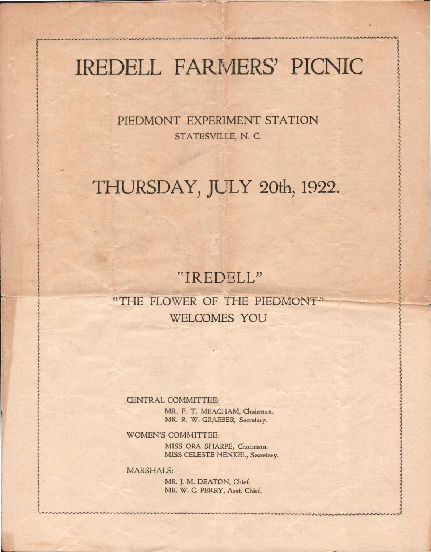# IREDELL FARMERS' PICNIC

PIEDMONT EXPERIMENT STATION STATESVILLE, N. C.

# THURSDAY, JULY 20th, 1922.

## "IREDELL"

## "THE FLOWER OF THE PIEDMONT" WELCOMES YOU

CENTRAL COMMITTEE:

MR. F. T. MEACHAM, Chairman. MR. R. W. GRAEBER, Secretary.

WOMEN'S COMMITTEE:

MISS ORA SHARPE, Chairman. MISS CELESTE HENKEL, Secretary.

MARSHALS:

MR. J. M. DEATON, Chief. MR. W. C. PERRY, Asst. Chief.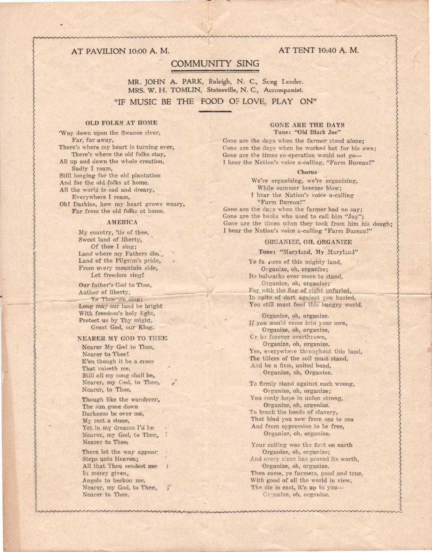#### AT PAVILION 10:00 A. M.

### **COMMUNITY SING**

MR. JOHN A. PARK, Raleigh, N. C., Song Leader. MRS. W. H. TOMLIN, Statesville, N. C., Accompanist. "IF MUSIC BE THE FOOD OF LOVE, PLAY ON"

#### **OLD FOLKS AT HOME**

'Way down upon the Swanee river, Far, far away, There's where my heart is turning ever, There's where the old folks stay, All up and down the whole creation, Sadly I roam, Still longing for the old plantation And for the old folks at home. All the world is sad and dreary, Everywhere I roam,

Oh! Darkies, how my heart grows weary, Far from the old folks at home.

#### **AMERICA**

My country, 'tis of thee, Sweet land of liberty, Of thee I sing; Land where my Fathers die, Land of the Pilgrim's pride, From every mountain side, Let freedom ring!

Our father's God to Thee, Author of liberty, To Thee we sing; Long may our land be bright With freedom's holy light, Protect us by Thy might, Great God, our King.

#### NEARER MY GOD TO THEE

Nearer My God to Thee. Nearer to Thee! E'en though it be a cross That raiseth me, Still all my song shall be, Nearer, my God, to Thee, Nearer, to Thee.

Though like the wanderer, The sun gane down Darkness be over me, My rest a stone, Yet in my dreams I'd be Nearer, my God, to Thee. Nearer to Thee

There let the way appear Steps unto Heaven: All that Thou sendest me In mercy given, Angels to beckon me, Nearer, my God, to Thee., Nearer to Thee.

#### **GONE ARE THE DAYS** Tune: "Old Black Joe"

Gone are the days when the farmer stood alone; Cone are the days when he worked but for his own; Gone are the times co-operation would not go-I hear the Nation's voice a-calling, "Farm Bureau!"

#### Chorne

We're organizing, we're organizing, While summer breezes blow: I hear the Nation's voice a-calling "Farm Bureau!" Gone are the days when the farmer had no say; Gone are the boobs who used to call him "Jay" Gone are the times when they took from him his dough: I hear the Nation's voice a-calling "Farm Bureau!"

#### ORGANIZE, OH, ORGANIZE

Tune: "Maryland, My Maryland"

Ye fa ners of this mighty land, Organize, oh, organize; Its bulwarks ever more to stand, Organize, oh, organize; For with the flag of right unfurled. In spite of dart against you hurled, You still must feed this hungry world.

Organize, oh, organize. If you would come into your own, Organize, oh, organize, Cr be forever overthrown, Organize, oh, organize. Yes, everywhere throughout this land, The tillers of the soil must stand, And be a firm, united band, Organize, oh, Organize.

To firmly stand against each wrong, Organize, oh, organize; You ronly hope in union strong, Organize, oh, organize. To break the bonds of slavery, That bind you now from sea to sea And from oppression to be free, Organize, oh, organize.

Your calling was the first on earth Organize, oh, organize; And every since has proved its worth. Organize, oh, organize. Then come, ye farmers, good and true. With good of all the world in view, The die is cast, it's up to you-Organize, oh, organize.

コアルコテリアティブルクラムデルディブリアライブルデルコテレアルコミュアルプライブルグラムアルデルコティブルディココ コイカコ アルプライバー いんこう インコンスタルコ しょうしょ

#### AT TENT 10:40 A. M.